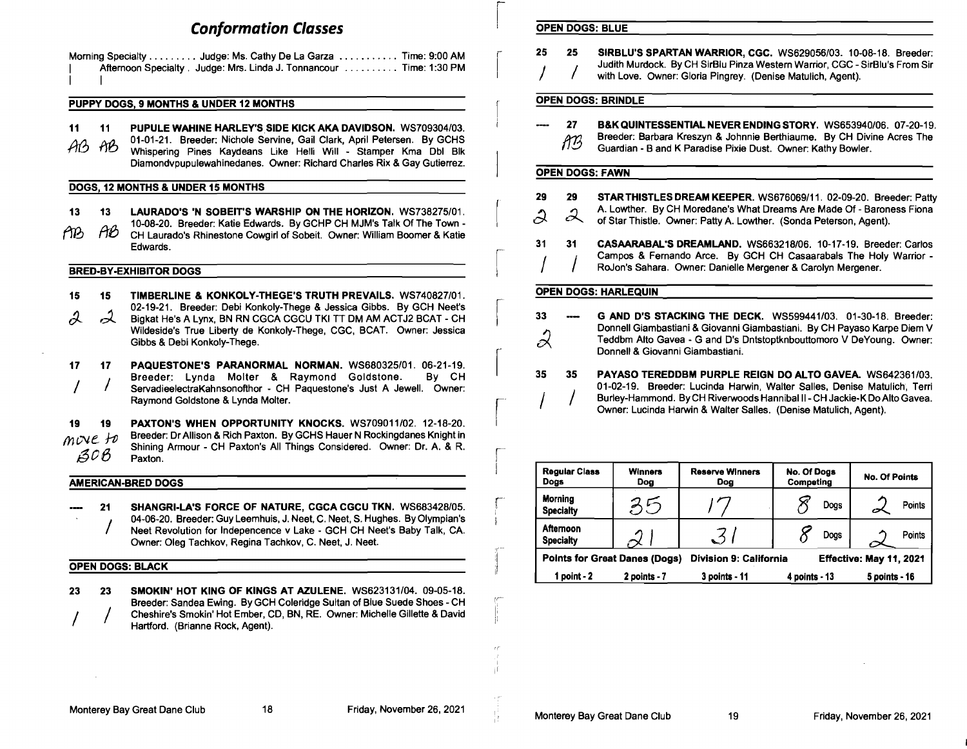# **Conformation Classes**

|              | Morning Specialty Judge: Ms. Cathy De La Garza Time: 9:00 AM        |  |
|--------------|---------------------------------------------------------------------|--|
| $\mathbf{I}$ | Afternoon Specialty, Judge: Mrs. Linda J. Tonnancour  Time: 1:30 PM |  |
| $\mathbf{1}$ |                                                                     |  |

## PUPPY DOGS, 9 MONTHS & UNDER 12 MONTHS

- 11 11 PUPULE WAHINE HARLEY'S SIDE KICK AKA DAVIDSON. *WS709304/03.*
- AB: NB: 01-01-21. Breeder: Nichole Servine, Gail Clark, April Petersen. By GCHS<br>M3M: Whispering Pines Kaydeans Like Helli Will Stamper Kma Dbl Blk Diamondvpupulewahinedanes. Owner: Richard Charles Rix & Gay Gutierrez.

## DOGS, 12 MONTHS & UNDER 15 MONTHS

13 13 LAURADO'S 'N SOBEIT'S WARSHIP ON THE HORIZON. *WS738275/01.*  10-08-20. Breeder: Katie Edwards. By GCHP CH MJM's Talk Of The Town fies for the conservation of the Cowards. By Sorth Strimon's rain of the Town-<br>fiest of the Laurado's Rhinestone Cowgirl of Sobeit. Owner: William Boomer & Katie Edwards.

### BRED-BY-EXHIBITOR DOGS

- 15  $\lambda$ 15  $\mathcal{A}$ TIMBERLINE & KONKOLY-THEGE'S TRUTH PREVAILS. *WS740827101.*  02-19-21. Breeder: Debi Konkoly-Thege & Jessica Gibbs. By GCH Neet's Bigkat He's A Lynx, BN RN CGCA CGCU TKI TT DM AM ACTJ2 BCAT - CH Wildeside's True Liberty de Konkoly-Thege, CGC, BCAT. Owner: Jessica Gibbs & Debi Konkoly-Thege.
- 17 / 17 / PAQUESTONE'S PARANORMAL NORMAN. *WS680325/01. 06-21-19.*  Breeder: Lynda Molter & Raymond Goldstone. ServadieelectraKahnsonofthor - CH Paquestone's Just A Jewell. Owner: Raymond Goldstone & Lynda Molter.

19 19 move to  $AOB$ PAXTON'S WHEN OPPORTUNITY KNOCKS. *WS709011/02. 12-18-20.*  Breeder: Dr Allison & Rich Paxton. By GCHS Hauer N Rockingdanes Knight in Shining Armour - CH Paxton's All Things Considered. Owner: Dr. A. & R. Paxton.

# AMERICAN-BRED DOGS

21 SHANGRI-LA'S FORCE OF NATURE, CGCA CGCU TKN. *WS683428/05.*  Neet Revolution for Indepencence v Lake - GCH CH Neet's Baby Talk, CA. Owner: Oleg Tachkov, Regina Tachkov, C. Neet, J. Neet.

# OPEN DOGS: BLACK

/ 23 23 SMOKIN' HOT KING OF KINGS AT AZULENE. *WS623131/04. 09-05-18.*  Breeder: Sandea Ewing. By GCH Coleridge Sultan of Blue Suede Shoes - CH Cheshire's Smokin' Hot Ember, CD, BN, RE. Owner: Michelle Gillette & David Hartford. (Brianne Rock, Agent).

# **OPEN DOGS: BLUE**

- 25 25 SIRBLU'S SPARTAN WARRIOR, CGC. *WS629056/03.* 10-08-18. Breeder: Judith Murdock. By CH SirBlu Pinza Western Warrior, CGC - SirBlu's From Sir with Love. Owner: Gloria Pingrey. (Denise Matulich, Agent).
	-

### OPEN DOGS: BRINDLE

27 **B&K QUINTESSENTIAL NEVER ENDING STORY.** WS653940/06. 07-20-19.<br>200 Breeder: Barbara Kreszyn & Johnnie Berthiaume. By CH Divine Acres The **ACRET Breeder: Barbara Kreszyn & Johnnie Berthiaume. By CH Divin<br>ACP Guardian - B and K Paradise Pixie Dust. Owner: Kathy Bowler.** 

### OPEN DOGS: FAWN

I  $\vert$ 

r

,(--

il

rr

**29 29 STAR THISTLES DREAM KEEPER.** WS676069/11. 02-09-20. Breeder: Patty<br>A. Lowther. By CH Moredane's What Dreams Are Made Of - Baroness Fiona A. Lowther. By CH Moredane's What Dreams Are Made Of - Barone<br>of Star Thistle. Owner: Patty A. Lowther. (Sonda Peterson, Agent). 31 31 CASAARABAL'S DREAMLAND. *WS663218/06.* 10-17-19. Breeder: Carlos Campos & Fernando Arce. By GCH CH Casaarabals The Holy Warrior -RoJon's Sahara. Owner: Danielle Mergener & Carolyn Mergener. OPEN DOGS: HARLEQUIN

- **G AND D'S STACKING THE DECK.** WS599441/03. 01-30-18. Breeder:<br>Donnell Giambastiani & Giovanni Giambastiani. By CH Payaso Karpe Diem V<br>Teddbm Alto Gavea G and D's Dntstoptknbouttomoro V DeYoung. Owner: Donnell Giambastiani & Giovanni Giambastiani. By CH Payaso Karpe Diem V ~ Teddbm Alto Gavea - G and D's Dntstoptknbouttomoro V DeYoung. Owner: Donnell & Giovanni Giambastiani.
- r 35 35 PAYASO TEREDDBM PURPLE REIGN DO ALTO GAVEA. WS642361 *103.*  01-02-19. Breeder: Lucinda Harwin, Walter Salles, Denise Matulich, Terri Burley-Hammond. By CH Riverwoods Hannibal II - CH Jackie-K Do Alto Gavea. Owner: Lucinda Harwin & Walter Salles. (Denise Matulich, Agent).

| <b>Regular Class</b><br>Dogs       | <b>Winners</b><br>Dog                | <b>Reserve Winners</b><br>Dog | No. Of Dogs<br>Competing | <b>No. Of Points</b>    |
|------------------------------------|--------------------------------------|-------------------------------|--------------------------|-------------------------|
| <b>Morning</b><br><b>Specialty</b> | 35                                   |                               | Dogs                     | Points                  |
| Aftemoon<br><b>Specialty</b>       |                                      | $\mathcal{S}$                 | Dogs                     | Points                  |
|                                    | <b>Points for Great Danes (Dogs)</b> | <b>Division 9: California</b> |                          | Effective: May 11, 2021 |
| 1 point - 2                        | 2 points - 7                         | 3 points - 11                 | $4$ points $-13$         | 5 points - 16           |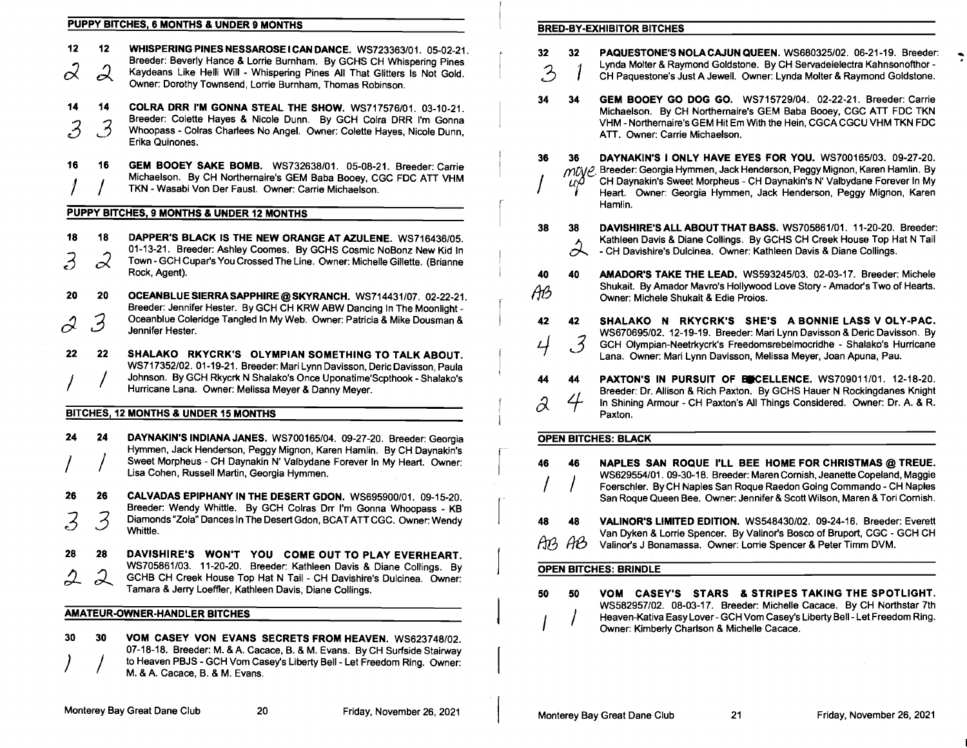# PUPPY BITCHES, 6 MONTHS & UNDER 9 MONTHS BRED-BY-EXHIBITOR BITCHES

| 12 <sub>2</sub> | 12            | WHISPERING PINES NESSAROSE I CAN DANCE. WS723363/01. 05-02-21.                                                                                                 | 32 <sub>2</sub> | 32   | PAQUESTONE'S NOLA CAJUN QUEEN. WS680325/02. 06-21-19. Breeder:                                                                                          |
|-----------------|---------------|----------------------------------------------------------------------------------------------------------------------------------------------------------------|-----------------|------|---------------------------------------------------------------------------------------------------------------------------------------------------------|
|                 | $\mathcal{Q}$ | Breeder: Beverly Hance & Lorrie Burnham. By GCHS CH Whispering Pines<br>Kaydeans Like Helli Will - Whispering Pines All That Glitters Is Not Gold.             | $\mathcal{Z}$   |      | Lynda Molter & Raymond Goldstone. By CH Servadeielectra Kahnsonofthor -<br>CH Paquestone's Just A Jewell. Owner: Lynda Molter & Raymond Goldstone.      |
|                 |               | Owner: Dorothy Townsend, Lorrie Burnham, Thomas Robinson.                                                                                                      |                 |      |                                                                                                                                                         |
| 14              | 14            | COLRA DRR I'M GONNA STEAL THE SHOW. WS717576/01, 03-10-21.                                                                                                     | 34              | -34  | <b>GEM BOOEY GO DOG GO.</b> WS715729/04. 02-22-21. Breeder: Carrie<br>Michaelson. By CH Northernaire's GEM Baba Booey, CGC ATT FDC TKN                  |
| . >             | . 2           | Breeder: Colette Hayes & Nicole Dunn. By GCH Colra DRR I'm Gonna<br>Whoopass - Colras Charlees No Angel. Owner: Colette Hayes, Nicole Dunn,<br>Erika Quinones. |                 |      | VHM - Northernaire's GEM Hit Em With the Hein, CGCA CGCU VHM TKN FDC<br>ATT. Owner: Carrie Michaelson.                                                  |
| 16              | -16           | GEM BOOEY SAKE BOMB. WS732638/01. 05-08-21. Breeder: Carrie                                                                                                    | 36.             | 36   | DAYNAKIN'S I ONLY HAVE EYES FOR YOU. WS700165/03. 09-27-20.                                                                                             |
|                 |               | Michaelson. By CH Northernaire's GEM Baba Booey, CGC FDC ATT VHM                                                                                               |                 | IJΩ. | MUVE Breeder: Georgia Hymmen, Jack Henderson, Peggy Mignon, Karen Hamlin. By<br>CH Daynakin's Sweet Morpheus - CH Daynakin's N' Valbydane Forever In My |
|                 |               | TKN - Wasabi Von Der Faust. Owner: Carrie Michaelson.                                                                                                          |                 |      | Heart. Owner: Georgia Hymmen, Jack Henderson, Peggy Mignon, Karen                                                                                       |
|                 |               | PUPPY BITCHES, 9 MONTHS & UNDER 12 MONTHS                                                                                                                      |                 |      | Hamlin.                                                                                                                                                 |
|                 |               |                                                                                                                                                                | 38              | 38   | DAVISHIRE'S ALL ABOUT THAT BASS. WS705861/01. 11-20-20. Breeder:                                                                                        |
| 18              | 18            | DAPPER'S BLACK IS THE NEW ORANGE AT AZULENE. WS716436/05.                                                                                                      |                 |      | Kathleen Davis & Diane Collings. By GCHS CH Creek House Top Hat N Tail                                                                                  |
|                 | $\alpha$      | 01-13-21. Breeder: Ashley Coomes. By GCHS Cosmic NoBonz New Kid In<br>Town - GCH Cupar's You Crossed The Line. Owner: Michelle Gillette. (Brianne              |                 |      | - CH Davishire's Dulcinea. Owner: Kathleen Davis & Diane Collings.                                                                                      |
|                 |               | Rock, Agent).                                                                                                                                                  | 40              | 40.  | <b>AMADOR'S TAKE THE LEAD.</b> WS593245/03. 02-03-17. Breeder: Michele                                                                                  |
|                 |               |                                                                                                                                                                | AB              |      | Shukait. By Amador Mavro's Hollywood Love Story - Amador's Two of Hearts.                                                                               |
| 20              | -20           | OCEANBLUE SIERRA SAPPHIRE @ SKYRANCH. WS714431/07. 02-22-21.<br>Breeder: Jennifer Hester. By GCH CH KRW ABW Dancing In The Moonlight -                         |                 |      | Owner: Michele Shukait & Edie Proios.                                                                                                                   |
|                 |               | Oceanblue Coleridge Tangled In My Web. Owner: Patricia & Mike Dousman &                                                                                        | 42              | 42   | RKYCRK'S SHE'S A BONNIE LASS V OLY-PAC.<br>SHALAKO N                                                                                                    |
|                 |               | Jennifer Hester.                                                                                                                                               |                 |      | WS670695/02, 12-19-19. Breeder: Mari Lynn Davisson & Deric Davisson. By                                                                                 |

## BITCHES, 12 MONTHS & UNDER 15 MONTHS

26 26 CALVADAS EPIPHANY IN THE DESERT GDON. WS695900/01. 09-15-20. Breeder: Wendy Whittle. By GCH Colras Drr I'm Gonna Whoopass - KB 3 3 Diamonds "Zola" Dances In The Desert Gdon, BCAT ATT CGC. Owner: Wendy<br>Whittle.

28 28 DAVISHIRE'S WON'T YOU COME OUT TO PLAY EVERHEART. WS705861/03. 11-20-20. Breeder: Kathleen Davis & Diane Collings. By GCHB CH Creek House Top Hat N Tail - CH Davishire's Dulcinea. Owner: Tamara & Jerry Loeffler, Kathleen Davis, Diane Collings. The Subsection of the State of the State of the State of the Spotlight.

AMATEUR-OWNER-HANDLER BITCHES

| 30 | 30 | VOM CASEY VON EVANS SECRETS FROM HEAVEN. WS623748/02.                     |
|----|----|---------------------------------------------------------------------------|
|    |    | 07-18-18. Breeder: M. & A. Cacace, B. & M. Evans. By CH Surfside Stairway |
|    |    | to Heaven PBJS - GCH Vom Casey's Liberty Bell - Let Freedom Ring. Owner:  |
|    |    | M. & A. Cacace, B. & M. Evans.                                            |

| 12<br>$\mathcal{Z}$ | 12<br>$\mathcal{Q}$ | WHISPERING PINES NESSAROSE I CAN DANCE. WS723363/01. 05-02-21.<br>Breeder: Beverly Hance & Lorrie Burnham. By GCHS CH Whispering Pines<br>Kaydeans Like Helli Will - Whispering Pines All That Glitters Is Not Gold.<br>Owner: Dorothy Townsend, Lorrie Burnham, Thomas Robinson. | 32<br>$\mathfrak{Z}$ | 32                                     | PAQUESTONE'S NOLA CAJUN QUEEN. WS680325/02. 06-21-19. Breeder:<br>Lynda Molter & Raymond Goldstone. By CH Servadeielectra Kahnsonofthor -<br>CH Paquestone's Just A Jewell. Owner: Lynda Molter & Raymond Goldstone.                                                                                      |
|---------------------|---------------------|-----------------------------------------------------------------------------------------------------------------------------------------------------------------------------------------------------------------------------------------------------------------------------------|----------------------|----------------------------------------|-----------------------------------------------------------------------------------------------------------------------------------------------------------------------------------------------------------------------------------------------------------------------------------------------------------|
| 14<br>$\mathcal{Z}$ | 14<br>$\mathcal{J}$ | COLRA DRR I'M GONNA STEAL THE SHOW. WS717576/01. 03-10-21.<br>Breeder: Colette Hayes & Nicole Dunn. By GCH Colra DRR I'm Gonna<br>Whoopass - Colras Charlees No Angel. Owner: Colette Hayes, Nicole Dunn.<br>Erika Quinones.                                                      | 34                   | 34                                     | GEM BOOEY GO DOG GO. WS715729/04. 02-22-21. Breeder: Carrie<br>Michaelson. By CH Northernaire's GEM Baba Booey, CGC ATT FDC TKN<br>VHM - Northernaire's GEM Hit Em With the Hein, CGCA CGCU VHM TKN FDC<br>ATT. Owner: Carrie Michaelson.                                                                 |
| 16                  | 16                  | GEM BOOEY SAKE BOMB. WS732638/01. 05-08-21. Breeder: Carrie<br>Michaelson. By CH Northernaire's GEM Baba Booey, CGC FDC ATT VHM<br>TKN - Wasabi Von Der Faust. Owner: Carrie Michaelson.                                                                                          | 36                   | 36<br>uΨ                               | DAYNAKIN'S I ONLY HAVE EYES FOR YOU. WS700165/03. 09-27-20.<br>Breeder: Georgia Hymmen, Jack Henderson, Peggy Mignon, Karen Hamlin. By<br>move<br>CH Daynakin's Sweet Morpheus - CH Daynakin's N' Valbydane Forever In My<br>Heart. Owner: Georgia Hymmen, Jack Henderson, Peggy Mignon, Karen<br>Hamlin. |
|                     |                     | PUPPY BITCHES, 9 MONTHS & UNDER 12 MONTHS                                                                                                                                                                                                                                         |                      |                                        |                                                                                                                                                                                                                                                                                                           |
| 18<br>$\mathcal{Z}$ | 18<br>$\mathcal{Z}$ | DAPPER'S BLACK IS THE NEW ORANGE AT AZULENE. WS716436/05.<br>01-13-21. Breeder: Ashley Coomes. By GCHS Cosmic NoBonz New Kid In<br>Town - GCH Cupar's You Crossed The Line. Owner: Michelle Gillette. (Brianne<br>Rock, Agent).                                                   | 38<br>40             | 38<br>$\partial\!\!\!\backslash$<br>40 | DAVISHIRE'S ALL ABOUT THAT BASS. WS705861/01. 11-20-20. Breeder:<br>Kathleen Davis & Diane Collings. By GCHS CH Creek House Top Hat N Tail<br>- CH Davishire's Dulcinea. Owner: Kathleen Davis & Diane Collings.<br>AMADOR'S TAKE THE LEAD. WS593245/03. 02-03-17. Breeder: Michele                       |
| 20<br>$\mathscr{Z}$ | 20<br>3             | OCEANBLUE SIERRA SAPPHIRE @ SKYRANCH. WS714431/07. 02-22-21.<br>Breeder: Jennifer Hester. By GCH CH KRW ABW Dancing In The Moonlight -<br>Oceanblue Coleridge Tangled In My Web. Owner: Patricia & Mike Dousman &<br>Jennifer Hester.                                             | AB<br>42             | 42                                     | Shukait. By Amador Mavro's Hollywood Love Story - Amador's Two of Hearts.<br>Owner: Michele Shukait & Edie Proios.<br>SHALAKO N RKYCRK'S SHE'S A BONNIE LASS V OLY-PAC.                                                                                                                                   |
| 22                  | 22                  | SHALAKO RKYCRK'S OLYMPIAN SOMETHING TO TALK ABOUT.<br>WS717352/02. 01-19-21. Breeder: Mari Lynn Davisson, Deric Davisson, Paula<br>Johnson. By GCH Rkycrk N Shalako's Once Uponatime'Scpthook - Shalako's                                                                         | 4<br>44              | $\mathcal{J}$<br>44                    | WS670695/02. 12-19-19. Breeder: Mari Lynn Davisson & Deric Davisson. By<br>GCH Olympian-Neetrkycrk's Freedomsrebelmocridhe - Shalako's Hurricane<br>Lana. Owner: Mari Lynn Davisson, Melissa Meyer, Joan Apuna, Pau.<br>PAXTON'S IN PURSUIT OF BECELLENCE. WS709011/01. 12-18-20.                         |
|                     |                     | Hurricane Lana. Owner: Melissa Meyer & Danny Meyer.<br>BITCHES, 12 MONTHS & UNDER 15 MONTHS                                                                                                                                                                                       | $\partial$           | 4                                      | Breeder: Dr. Allison & Rich Paxton. By GCHS Hauer N Rockingdanes Knight<br>In Shining Armour - CH Paxton's All Things Considered. Owner: Dr. A. & R.<br>Paxton.                                                                                                                                           |
|                     |                     |                                                                                                                                                                                                                                                                                   |                      |                                        |                                                                                                                                                                                                                                                                                                           |
| 24                  | 24                  | DAYNAKIN'S INDIANA JANES. WS700165/04. 09-27-20. Breeder: Georgia<br>Hymmen, Jack Henderson, Peggy Mignon, Karen Hamlin. By CH Daynakin's<br>Sweet Morpheus - CH Daynakin N' Valbydane Forever In My Heart. Owner:<br>Lisa Cohen, Russell Martin, Georgia Hymmen.                 | 46                   | 46                                     | <b>OPEN BITCHES: BLACK</b><br>NAPLES SAN ROQUE I'LL BEE HOME FOR CHRISTMAS @ TREUE.<br>WS629554/01. 09-30-18. Breeder: Maren Cornish, Jeanette Copeland, Maggie                                                                                                                                           |
| 26<br>3             | 26<br>ス             | CALVADAS EPIPHANY IN THE DESERT GDON. WS695900/01. 09-15-20.<br>Breeder: Wendy Whittle. By GCH Colras Drr I'm Gonna Whoopass - KB<br>Diamonds "Zola" Dances In The Desert Gdon, BCAT ATT CGC. Owner: Wendy                                                                        | 48                   | 48                                     | Foerschler. By CH Naples San Roque Raedon Going Commando - CH Naples<br>San Roque Queen Bee. Owner: Jennifer & Scott Wilson, Maren & Tori Cornish.<br>VALINOR'S LIMITED EDITION. WS548430/02. 09-24-16. Breeder: Everett                                                                                  |
|                     |                     |                                                                                                                                                                                                                                                                                   |                      |                                        |                                                                                                                                                                                                                                                                                                           |

Van Dyken & Lorrie Spencer. By Valinor's Bosco of Bruport, CGC - GCH CH<br>  $AB$  Valinor's J Bonamassa. Owner: Lorrie Spencer & Peter Timm DVM. Valinor's J Bonamassa. Owner: Lorrie Spencer & Peter Timm DVM.

## OPEN BITCHES: BRINDLE

WS582957102. 08-03-17. Breeder: Michelle Cacace. By CH Northstar 7th Heaven-Kativa Easy Lover - GCH Vom Casey's Liberty Bell - Let Freedom Ring.<br>Owner: Kimberly Charlson & Michelle Cacace.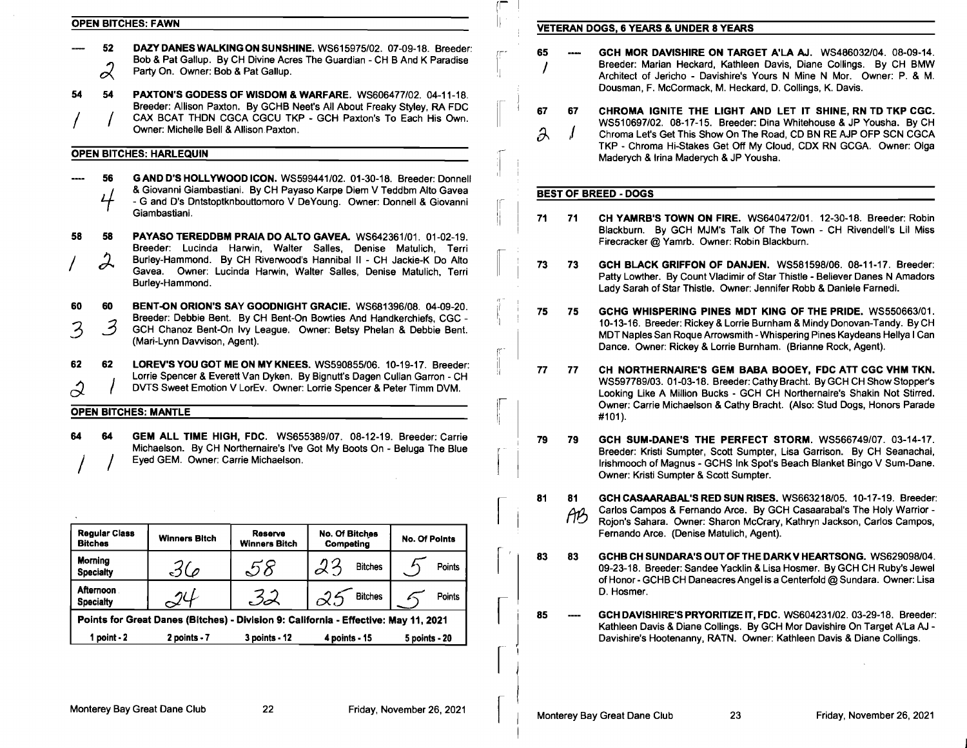- 52 DAZYDANESWALKINGON SUNSHINE. WS615975/02. 07-09-18. Breeder: **register and SCH MOR DAVISHIRE ON TARGET A'LA AJ.** WS486032/04. 08-09-14. <br>Broeder: Marian Bob & Pat Gallup. By CH Divine Acres The Guardian CH B And K Par
	- Party On. Owner: Bob & Pat Gallup.

54 **54 PAXTON'S GODESS OF WISDOM & WARFARE.** WS606477/02. 04-11-18.<br>Breeder: Allison Paxton. By GCHB Neet's All About Freaky Styley, RA FDC

56 GAND D'S HOLLYWOOD ICON. WS599441 *102.* 01-30-18. Breeder: Donnell &Giovanni Giambastiani. By CH Payaso Karpe Diem V Teddbm Alto Gavea - G and D's Dntstoptknbouttomoro V DeYoung. Owner: Donnell & Giovanni Giambastiani.

58 58 PAYASO TEREDDBM PRAIA DO ALTO GAVEA. *WS642361/01. 01-02-19.*  Breeder: Lucinda Harwin, Walter Salles, Denise Matulich, Terri Burley-Hammond. By CH Riverwood's Hannibal II - CH Jackie-K Do Alto Gavea. Owner: Lucinda Harwin, Walter Salles, Denise Matulich, Terri Burley-Hammond.

3 60 60 BENT-ON ORION'S SAY GOODNIGHT GRACIE. *WS681396/08. 04-09-20.*  Breeder: Debbie Bent. By CH Bent-On Bowties And Handkerchiefs, CGC 3 GCH Chanoz Bent-On Ivy League. Owner: Betsy Phelan & Debbie Bent. (Mari-Lynn Dawison, Agent).

62 62 LOREV'S YOU GOT ME ON MY KNEES. *WS590855/06.* 10-19-17. Breeder: Lorrie Spencer & Everett Van Dyken. By Bignutt's Dagen Cullan Garron - CH DVTS Sweet Emotion V LorEv. Owner: Lorrie Spencer & Peter Timm DVM.

# OPEN BITCHES: MANTLE

64 64 GEM ALL TIME HIGH, FDC. *WS655389/07.* 08-12-19. Breeder: Carrie Michaelson. By CH Northernaire's I've Got My Boots On - Beluga The Blue Eyed GEM. Owner: Carrie Michaelson.

| <b>Regular Class</b><br><b>Bitches</b>                                              | <b>Winners Bitch</b> | Reserve<br><b>Winners Bitch</b> | <b>No. Of Bitches</b><br>Competing | <b>No. Of Points</b> |  |  |  |  |
|-------------------------------------------------------------------------------------|----------------------|---------------------------------|------------------------------------|----------------------|--|--|--|--|
| <b>Morning</b><br><b>Specialty</b>                                                  | 36                   |                                 | <b>Bitches</b>                     | Points               |  |  |  |  |
| <b>Afternoon</b><br><b>Specialty</b>                                                | 7U                   | - 3.J                           | <b>Bitches</b>                     | Points               |  |  |  |  |
| Points for Great Danes (Bitches) - Division 9: California - Effective: May 11, 2021 |                      |                                 |                                    |                      |  |  |  |  |
| 1 point $-2$                                                                        | $2$ points - $7$     | 3 points - 12                   | 4 points - 15                      | 5 points - 20        |  |  |  |  |

# OPEN BITCHES: FAWN **IN A REAL PROPENT BITCHES: FAWN**

- Breeder: Marian Heckard, Kathleen Davis, Diane Collings. By CH BMW IF DOD & Pat Gallup. By CH Divine Acres The Guardian - CH B And K Paradise (Change of Changeler: Marian Heckard, Kathleen Davis, Diane Collings. By CH BMW Party On. Owner: P. & M. Party On. Owner: P. & M. Party On. Owner:
- Breeder: Allison Paxton. By GCHB Neet's All About Freaky Styley, RA FDC<br>CAX BCAT THDN CGCA CGCU TKP GCH Paxton's To Each His Own.<br>Owner: Michelle Bell & Allison Paxton. (and Accord TKP GCH Paxton's To Each His Own. (a) TKP - Chroma Hi-Stakes Get Off My Cloud, CDX RN GCGA. Owner: Olga OPEN BITCHES: HARLEQUIN Maderych & IP Yousha.

# BEST OF BREED - DOGS

rr

 $\mathbb{R}$ 

rr-

 $\mathbb{I}$  $\vdash$ 

|<br>|<br>|

 $\vert$ 

I

- III' 71 71 CH YAMRB'S TOWN ON FIRE. *WS640472/01.* 12-30-18. Breeder: Robin Blackburn. By GCH MJM's Talk Of The Town - CH Rivendell's Lil Miss Firecracker @ Yamrb. Owner: Robin Blackburn.
- $\begin{array}{|c|c|c|}\n\hline\n&\mathbf{73} & \mathbf{73}\n\end{array}$ GCH BLACK GRIFFON OF DANJEN. *WS581598/06.* 08-11-17. Breeder: Patty Lowther. By Count Vladimir of Star Thistle - Believer Danes N Amadors Lady Sarah of Star Thistle. Owner: Jennifer Robb & Daniele Farnedi.
	- 75 75 GCHG WHISPERING PINES MDT KING OF THE PRIDE. *WS550663/01.*  10-13-16. Breeder: Rickey & Lorrie Burnham & Mindy Donovan-Tandy. By CH MDT Naples San Roque Arrowsmith - Whispering Pines Kaydeans Hellya I Can Dance. Owner: Rickey & Lorrie Burnham. (Brianne Rock, Agent).
	- 77 77 CH NORTHERNAIRE'S GEM BABA BOOEY, FDC ATT CGC VHM TKN. *WS597789/03.* 01-03-18. Breeder: Cathy Bracht. By GCH CH Show Stopper's Looking Like A Million Bucks - GCH CH Northernaire's Shakin Not Stirred. Owner: Carrie Michaelson &Cathy Bracht. (Also: Stud Dogs, Honors Parade #101).
	- 79 79 GCH SUM-DANE'S THE PERFECT STORM. *WS566749/07. 03-14-17.*  Breeder: Kristi Sumpter, Scott Sumpter, Lisa Garrison. By CH Seanachai, Irishmooch of Magnus - GCHS Ink Spot's Beach Blanket Bingo V Sum-Dane. Owner: Kristi Sumpter & Scott Sumpter.
- $\begin{bmatrix} 81 & 81 \\ 1 & A1 \end{bmatrix}$ *ftT?J*  GCH CASAARABAL'S RED SUN RISES. *WS663218/05.* 10-17-19. Breeder: Carlos Campos & Fernando Arce. By GCH Casaarabal's The Holy Warrior Rojon's Sahara. Owner: Sharon McCrary, Kathryn Jackson, Carlos Campos, Fernando Arce. (Denise Matulich, Agent).
- $\begin{bmatrix} 1 \\ 1 \end{bmatrix}$  83 83 GCHB CH SUNDARA'S OUT OF THE DARKV HEARTSONG. *WS629098/04.*  09-23-18. Breeder: Sandee Yacklin &Lisa Hosmer. By GCH CH Ruby's Jewel of Honor - GCHB CH Daneacres Angel is a Centerfold @ Sundara. Owner: Lisa D. Hosmer.

I <sup>85</sup> GCH DAVISHIRE'S PRYORITIZE IT, FDC. *WS604231/02.* 03-29-18. Breeder: Kathleen Davis & Diane Collings. By GCH Mor Davishire On Target A'La AJ -Davishire's Hootenanny, RATN. Owner: Kathleen Davis & Diane Collings.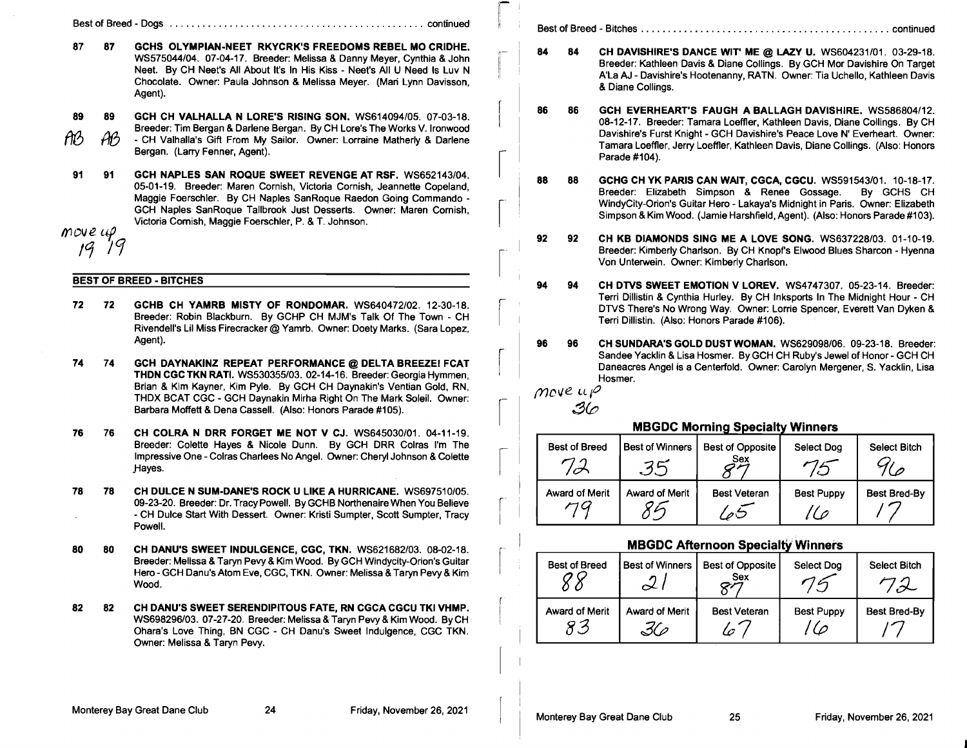Best of Breed - Dogs ............................................... continued

- 87 87 GCHS OLYMPIAN-NEET RKYCRK'S FREEDOMS REBEL MO CRIDHE. WS575044/04. 07-04-17. Breeder: Melissa & Danny Meyer, Cynthia & John Neet. By CH Neet's All About It's In His Kiss - Neet's All U Need Is Luv N Chocolate. Owner: Paula Johnson & Melissa Meyer. (Man Lynn Davisson, Agent).
- 89 89 AB AB GCH CH VALHALLA N LORE'S RISING SON. WS614094/05. 07-03-18. Breeder: Tim Bergan & Darlene Bergan. By CH Lore's The Works V. Ironwood - CH Valhalla's Gift From My Sailor. Owner: Lorraine Matherly & Darlene

Bergan. (Larry Fenner, Agent).

91 91 GCH NAPLES SAN ROQUE SWEET REVENGE AT RSF. WS652143/04. 05-01-19. Breeder: Maren Cornish, Victoria Cornish, Jeannette Copeland, Maggie Foerschler. By CH Naples San Roque Raedon Going Commando -GCH Naples SanRoque Tallbrook Just Desserts. Owner: Maren Cornish, Victoria Cornish, Maggie Foerschler, P. & T. Johnson.

 $m$ *ove*  $\mu$ 19 19

# BEST OF BREED - BITCHES

- 72 72 GCHB CH YAMRB MISTY OF RONDOMAR. WS640472/02. 12-30-18. Breeder: Robin Blackburn. By GCHP CH MJM's Talk Of The Town - CH Rivendell's Lil Miss Firecracker@ Yamrb. Owner: Doety Marks. (Sara Lopez, Agent).
- 74 74 GCH DAYNAKINZ REPEAT PERFORMANCE @ DELTA BREEZEI FCAT THDN CGC TKN RATI. WS530355/03. 02-14-16. Breeder: Georgia Hymmen, Brian & Kim Kayner, Kim Pyle. By GCH CH Daynakin's Ventian Gold, RN, THDX BCAT CGC - GCH Daynakin Mirha Right On The Mark Soleil. Owner: Barbara Moffett & Dena Cassell. (Also: Honors Parade #105).

76 76 CH COLRA N DRR FORGET ME NOT V CJ. WS645030/01. 04-11-19. Breeder: Colette Hayes & Nicole Dunn. By GCH DRR Colras I'm The Impressive One - Colras Charlees No Angel. Owner: Cheryl Johnson & Colette \_Hayes.

- 78 78 CH DULCE N SUM-DANE'S ROCK U LIKE A HURRICANE. WS697510/05. 09-23-20. Breeder: Dr. Tracy Powell. By GCHB Northenaire When You Believe - CH Dulce Start With Dessert. Owner: Kristi Sumpter, Scott Sumpter, Tracy Powell.
- 80 80 CH DANU'S SWEET INDULGENCE, CGC, TKN. WS621682/03. 08-02-18. Breeder: Melissa & Taryn Pevy & Kim Wood. By GCH Windycity-Orion's Guitar Hero - GCH Danu's Atom Eve, CGC, TKN. Owner: Melissa & Taryn Pevy & Kim Wood.
- 82 82 CH DANU'S SWEET SERENDIPITOUS FATE, RN CGCA CGCU TKI VHMP. WS698296/03. 07-27-20. Breeder: Melissa & Taryn Pevy& Kim Wood. ByCH Ohara's Love Thing, BN CGC - CH Danu's Sweet Indulgence, CGC TKN. Owner: Melissa & Taryn Pevy.

!I Best of Breed - Bitches .............................................. continued

 $\mathsf{\Gamma}$  I I,

 $\sqrt{2}$ 

 $\begin{bmatrix} 1 & 1 \\ 1 & 1 \end{bmatrix}$ 

 $\begin{bmatrix} 1 \\ 1 \end{bmatrix}$ 

 $\vert$ 

- *r,* 84 84 CH DAVISHIRE'S DANCE WIT' ME @ LAZY U. WS604231/01. 03-29-18. Breeder: Kathleen Davis & Diane Collings. By GCH Mor Davishire On Target A'La AJ - Davishire's Hootenanny, RATN. Owner: Tia Uchello, Kathleen Davis & Diane Collings.
- 86 86 GCH EVERHEART'S FAUGH A BALLAGH DAVISHIRE. WS586804/12. 08-12-17. Breeder: Tamara Loeffler, Kathleen Davis, Diane Collings. By CH Davishire's Furst Knight - GCH Davishire's Peace Love N' Everheart. Owner: Tamara Loeffler, Jerry Loeffler, Kathleen Davis, Diane Collings. (Also: Honors Parade #104).
- 88 88 GCHG CH YK PARIS CAN WAIT, CGCA, CGCU. WS591543/01. 10-18-17. Breeder: Elizabeth Simpson & Renee Gossage. By GCHS CH WindyCity-Orion's Guitar Hero - Lakaya's Midnight in Paris. Owner: Elizabeth Simpson & Kim Wood. (Jamie Harshfield, Agent). (Also: Honors Parade #103).
- 92 92 CH KB DIAMONDS SING ME A LOVE SONG. WS637228/03. 01-10-19. Breeder: Kimberly Charlson. By CH Knopfs Elwood Blues Sharcon - Hyenna Von Unterwein. Owner: Kimberly Charlson.
- 94 94 CH DTVS SWEET EMOTION V LOREV. WS4747307. 05-23-14. Breeder: Terri Dillistin & Cynthia Hurley. By CH Inksports In The Midnight Hour - CH DTVS There's No Wrong Way. Owner: Lorrie Spencer, Everett Van Dyken & Terri Dillistin. (Also: Honors Parade #106).
- 96 96 CH SUNDARA'S GOLD DUST WOMAN. WS629098/06. 09-23-18. Breeder: Sandee Yacklin & Lisa Hosmer. By GCH CH Ruby's Jewel of Honor - GCH CH Daneacres Angel is a Centerfold. Owner: Carolyn Mergener, S. Yacklin, Lisa Hosmer.

[ | move up<br>36

# **MBGDC Morning Specialty Winners**

| $\overline{\phantom{a}}$ | <b>Best of Breed</b>  | <b>Best of Winners</b> | Best of Opposite<br>Sex | Select Dog        | <b>Select Bitch</b> |
|--------------------------|-----------------------|------------------------|-------------------------|-------------------|---------------------|
| r.                       | <b>Award of Merit</b> | Award of Merit         | <b>Best Veteran</b>     | <b>Best Puppy</b> | <b>Best Bred-By</b> |

# <u>MBGDC Afternoon Specialty Winners</u>

| <b>Best of Breed</b> | <b>Best of Winners</b> | <b>Best of Opposite</b><br>Sex | Select Dog        | Select Bitch |
|----------------------|------------------------|--------------------------------|-------------------|--------------|
| Award of Merit       | Award of Merit         | <b>Best Veteran</b><br>l c     | <b>Best Puppy</b> | Best Bred-By |